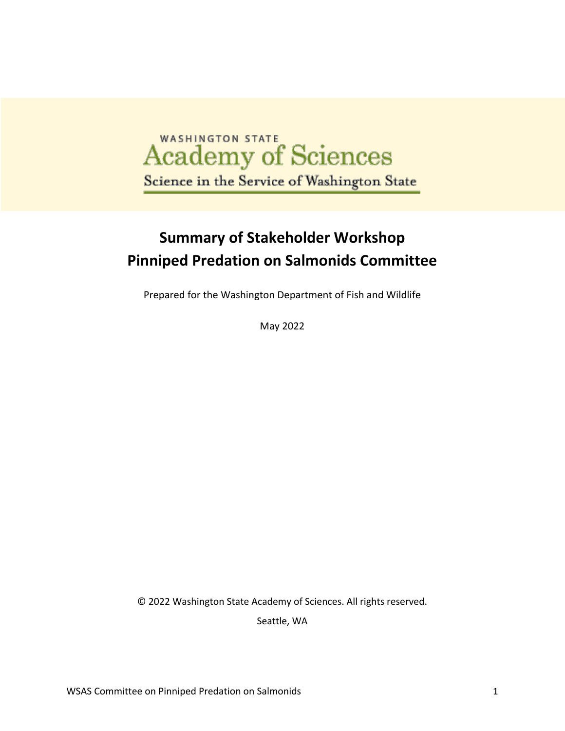# **Academy of Sciences** Science in the Service of Washington State

## **Summary of Stakeholder Workshop Pinniped Predation on Salmonids Committee**

Prepared for the Washington Department of Fish and Wildlife

May 2022

© 2022 Washington State Academy of Sciences. All rights reserved.

Seattle, WA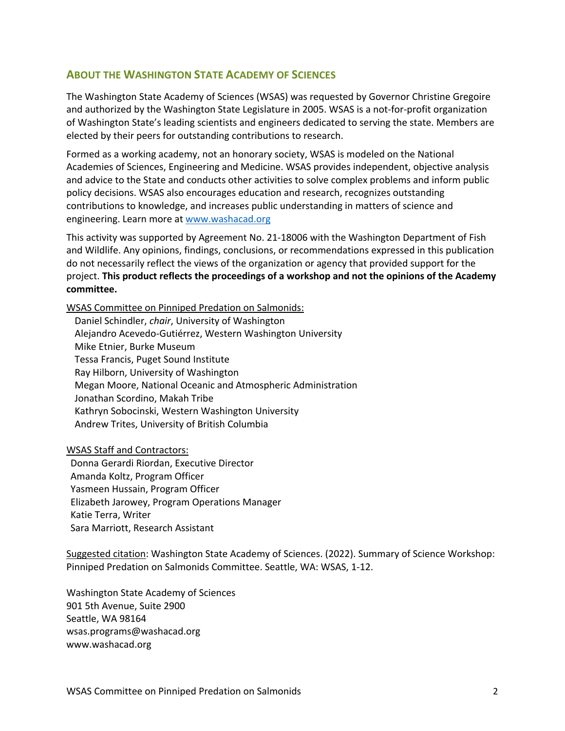#### **ABOUT THE WASHINGTON STATE ACADEMY OF SCIENCES**

The Washington State Academy of Sciences (WSAS) was requested by Governor Christine Gregoire and authorized by the Washington State Legislature in 2005. WSAS is a not-for-profit organization of Washington State's leading scientists and engineers dedicated to serving the state. Members are elected by their peers for outstanding contributions to research.

Formed as a working academy, not an honorary society, WSAS is modeled on the National Academies of Sciences, Engineering and Medicine. WSAS provides independent, objective analysis and advice to the State and conducts other activities to solve complex problems and inform public policy decisions. WSAS also encourages education and research, recognizes outstanding contributions to knowledge, and increases public understanding in matters of science and engineering. Learn more at www.washacad.org

This activity was supported by Agreement No. 21-18006 with the Washington Department of Fish and Wildlife. Any opinions, findings, conclusions, or recommendations expressed in this publication do not necessarily reflect the views of the organization or agency that provided support for the project. **This product reflects the proceedings of a workshop and not the opinions of the Academy committee.**

WSAS Committee on Pinniped Predation on Salmonids:

Daniel Schindler, *chair*, University of Washington Alejandro Acevedo-Gutiérrez, Western Washington University Mike Etnier, Burke Museum Tessa Francis, Puget Sound Institute Ray Hilborn, University of Washington Megan Moore, National Oceanic and Atmospheric Administration Jonathan Scordino, Makah Tribe Kathryn Sobocinski, Western Washington University Andrew Trites, University of British Columbia

#### WSAS Staff and Contractors:

Donna Gerardi Riordan, Executive Director Amanda Koltz, Program Officer Yasmeen Hussain, Program Officer Elizabeth Jarowey, Program Operations Manager Katie Terra, Writer Sara Marriott, Research Assistant

Suggested citation: Washington State Academy of Sciences. (2022). Summary of Science Workshop: Pinniped Predation on Salmonids Committee. Seattle, WA: WSAS, 1-12.

Washington State Academy of Sciences 901 5th Avenue, Suite 2900 Seattle, WA 98164 wsas.programs@washacad.org www.washacad.org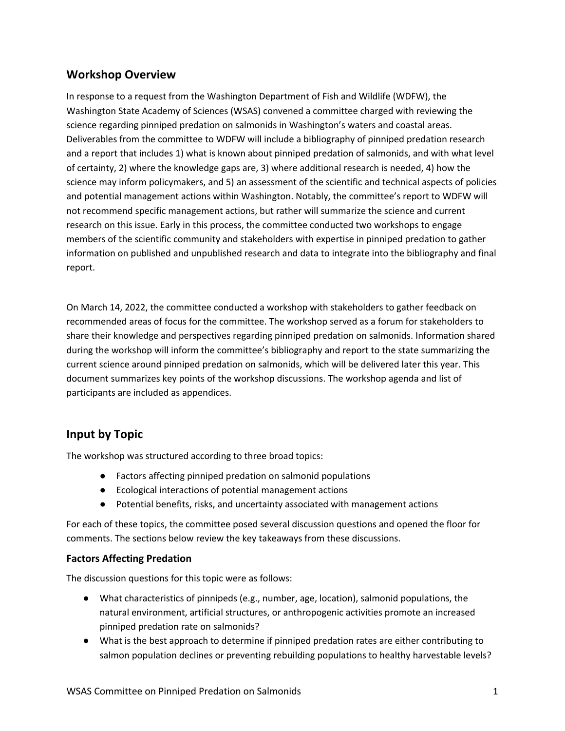#### **Workshop Overview**

In response to a request from the Washington Department of Fish and Wildlife (WDFW), the Washington State Academy of Sciences (WSAS) convened a committee charged with reviewing the science regarding pinniped predation on salmonids in Washington's waters and coastal areas. Deliverables from the committee to WDFW will include a bibliography of pinniped predation research and a report that includes 1) what is known about pinniped predation of salmonids, and with what level of certainty, 2) where the knowledge gaps are, 3) where additional research is needed, 4) how the science may inform policymakers, and 5) an assessment of the scientific and technical aspects of policies and potential management actions within Washington. Notably, the committee's report to WDFW will not recommend specific management actions, but rather will summarize the science and current research on this issue. Early in this process, the committee conducted two workshops to engage members of the scientific community and stakeholders with expertise in pinniped predation to gather information on published and unpublished research and data to integrate into the bibliography and final report.

On March 14, 2022, the committee conducted a workshop with stakeholders to gather feedback on recommended areas of focus for the committee. The workshop served as a forum for stakeholders to share their knowledge and perspectives regarding pinniped predation on salmonids. Information shared during the workshop will inform the committee's bibliography and report to the state summarizing the current science around pinniped predation on salmonids, which will be delivered later this year. This document summarizes key points of the workshop discussions. The workshop agenda and list of participants are included as appendices.

#### **Input by Topic**

The workshop was structured according to three broad topics:

- Factors affecting pinniped predation on salmonid populations
- Ecological interactions of potential management actions
- Potential benefits, risks, and uncertainty associated with management actions

For each of these topics, the committee posed several discussion questions and opened the floor for comments. The sections below review the key takeaways from these discussions.

#### **Factors Affecting Predation**

The discussion questions for this topic were as follows:

- What characteristics of pinnipeds (e.g., number, age, location), salmonid populations, the natural environment, artificial structures, or anthropogenic activities promote an increased pinniped predation rate on salmonids?
- What is the best approach to determine if pinniped predation rates are either contributing to salmon population declines or preventing rebuilding populations to healthy harvestable levels?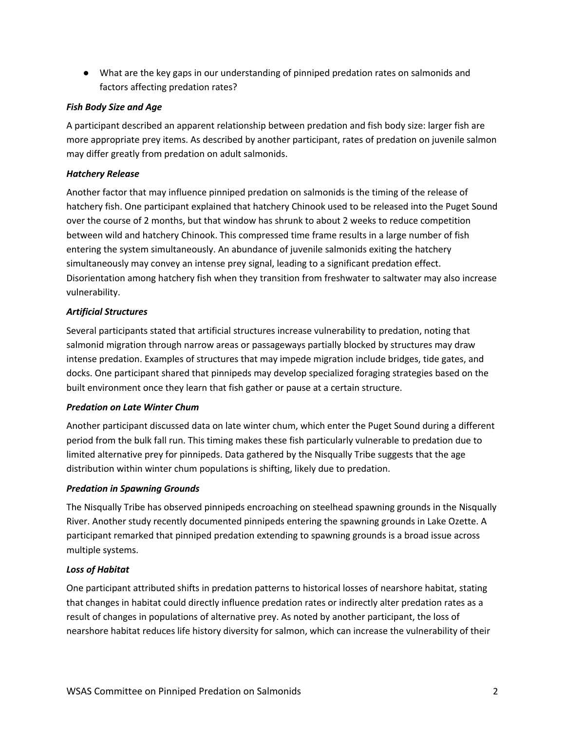● What are the key gaps in our understanding of pinniped predation rates on salmonids and factors affecting predation rates?

#### *Fish Body Size and Age*

A participant described an apparent relationship between predation and fish body size: larger fish are more appropriate prey items. As described by another participant, rates of predation on juvenile salmon may differ greatly from predation on adult salmonids.

#### *Hatchery Release*

Another factor that may influence pinniped predation on salmonids is the timing of the release of hatchery fish. One participant explained that hatchery Chinook used to be released into the Puget Sound over the course of 2 months, but that window has shrunk to about 2 weeks to reduce competition between wild and hatchery Chinook. This compressed time frame results in a large number of fish entering the system simultaneously. An abundance of juvenile salmonids exiting the hatchery simultaneously may convey an intense prey signal, leading to a significant predation effect. Disorientation among hatchery fish when they transition from freshwater to saltwater may also increase vulnerability.

#### *Artificial Structures*

Several participants stated that artificial structures increase vulnerability to predation, noting that salmonid migration through narrow areas or passageways partially blocked by structures may draw intense predation. Examples of structures that may impede migration include bridges, tide gates, and docks. One participant shared that pinnipeds may develop specialized foraging strategies based on the built environment once they learn that fish gather or pause at a certain structure.

#### *Predation on Late Winter Chum*

Another participant discussed data on late winter chum, which enter the Puget Sound during a different period from the bulk fall run. This timing makes these fish particularly vulnerable to predation due to limited alternative prey for pinnipeds. Data gathered by the Nisqually Tribe suggests that the age distribution within winter chum populations is shifting, likely due to predation.

#### *Predation in Spawning Grounds*

The Nisqually Tribe has observed pinnipeds encroaching on steelhead spawning grounds in the Nisqually River. Another study recently documented pinnipeds entering the spawning grounds in Lake Ozette. A participant remarked that pinniped predation extending to spawning grounds is a broad issue across multiple systems.

#### *Loss of Habitat*

One participant attributed shifts in predation patterns to historical losses of nearshore habitat, stating that changes in habitat could directly influence predation rates or indirectly alter predation rates as a result of changes in populations of alternative prey. As noted by another participant, the loss of nearshore habitat reduces life history diversity for salmon, which can increase the vulnerability of their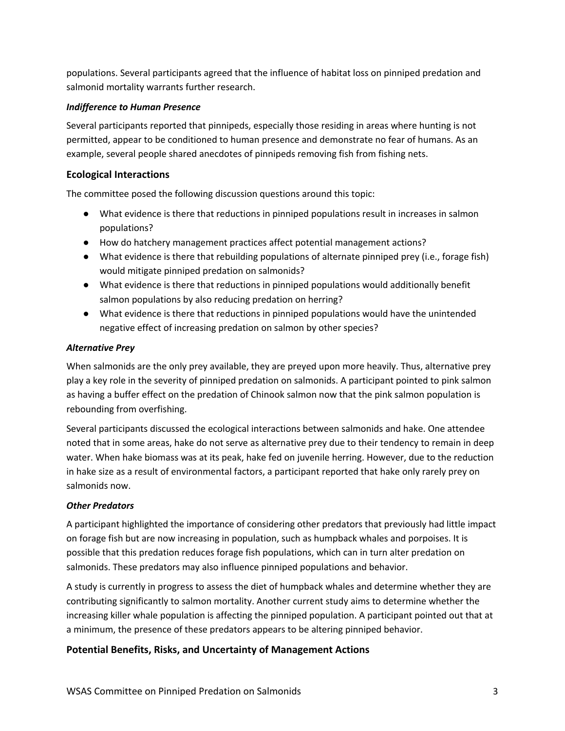populations. Several participants agreed that the influence of habitat loss on pinniped predation and salmonid mortality warrants further research.

#### *Indifference to Human Presence*

Several participants reported that pinnipeds, especially those residing in areas where hunting is not permitted, appear to be conditioned to human presence and demonstrate no fear of humans. As an example, several people shared anecdotes of pinnipeds removing fish from fishing nets.

#### **Ecological Interactions**

The committee posed the following discussion questions around this topic:

- What evidence is there that reductions in pinniped populations result in increases in salmon populations?
- How do hatchery management practices affect potential management actions?
- What evidence is there that rebuilding populations of alternate pinniped prey (i.e., forage fish) would mitigate pinniped predation on salmonids?
- What evidence is there that reductions in pinniped populations would additionally benefit salmon populations by also reducing predation on herring?
- What evidence is there that reductions in pinniped populations would have the unintended negative effect of increasing predation on salmon by other species?

#### *Alternative Prey*

When salmonids are the only prey available, they are preyed upon more heavily. Thus, alternative prey play a key role in the severity of pinniped predation on salmonids. A participant pointed to pink salmon as having a buffer effect on the predation of Chinook salmon now that the pink salmon population is rebounding from overfishing.

Several participants discussed the ecological interactions between salmonids and hake. One attendee noted that in some areas, hake do not serve as alternative prey due to their tendency to remain in deep water. When hake biomass was at its peak, hake fed on juvenile herring. However, due to the reduction in hake size as a result of environmental factors, a participant reported that hake only rarely prey on salmonids now.

#### *Other Predators*

A participant highlighted the importance of considering other predators that previously had little impact on forage fish but are now increasing in population, such as humpback whales and porpoises. It is possible that this predation reduces forage fish populations, which can in turn alter predation on salmonids. These predators may also influence pinniped populations and behavior.

A study is currently in progress to assess the diet of humpback whales and determine whether they are contributing significantly to salmon mortality. Another current study aims to determine whether the increasing killer whale population is affecting the pinniped population. A participant pointed out that at a minimum, the presence of these predators appears to be altering pinniped behavior.

#### **Potential Benefits, Risks, and Uncertainty of Management Actions**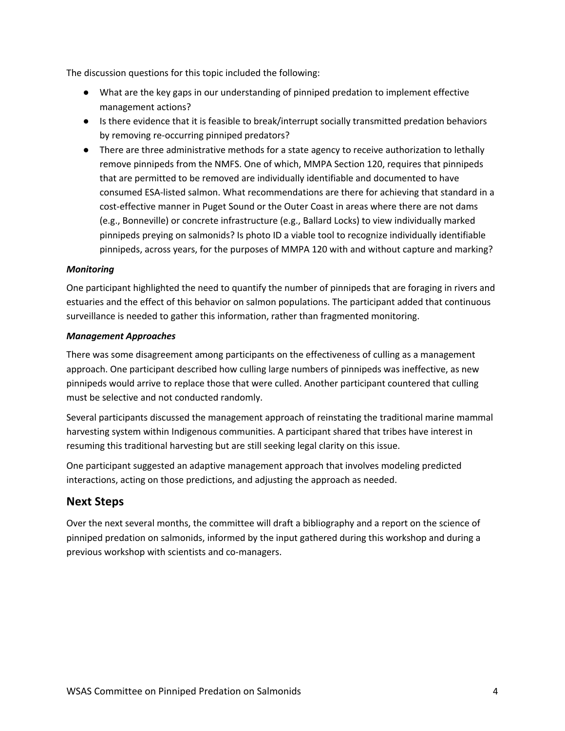The discussion questions for this topic included the following:

- What are the key gaps in our understanding of pinniped predation to implement effective management actions?
- Is there evidence that it is feasible to break/interrupt socially transmitted predation behaviors by removing re-occurring pinniped predators?
- There are three administrative methods for a state agency to receive authorization to lethally remove pinnipeds from the NMFS. One of which, MMPA Section 120, requires that pinnipeds that are permitted to be removed are individually identifiable and documented to have consumed ESA-listed salmon. What recommendations are there for achieving that standard in a cost-effective manner in Puget Sound or the Outer Coast in areas where there are not dams (e.g., Bonneville) or concrete infrastructure (e.g., Ballard Locks) to view individually marked pinnipeds preying on salmonids? Is photo ID a viable tool to recognize individually identifiable pinnipeds, across years, for the purposes of MMPA 120 with and without capture and marking?

#### *Monitoring*

One participant highlighted the need to quantify the number of pinnipeds that are foraging in rivers and estuaries and the effect of this behavior on salmon populations. The participant added that continuous surveillance is needed to gather this information, rather than fragmented monitoring.

#### *Management Approaches*

There was some disagreement among participants on the effectiveness of culling as a management approach. One participant described how culling large numbers of pinnipeds was ineffective, as new pinnipeds would arrive to replace those that were culled. Another participant countered that culling must be selective and not conducted randomly.

Several participants discussed the management approach of reinstating the traditional marine mammal harvesting system within Indigenous communities. A participant shared that tribes have interest in resuming this traditional harvesting but are still seeking legal clarity on this issue.

One participant suggested an adaptive management approach that involves modeling predicted interactions, acting on those predictions, and adjusting the approach as needed.

#### **Next Steps**

Over the next several months, the committee will draft a bibliography and a report on the science of pinniped predation on salmonids, informed by the input gathered during this workshop and during a previous workshop with scientists and co-managers.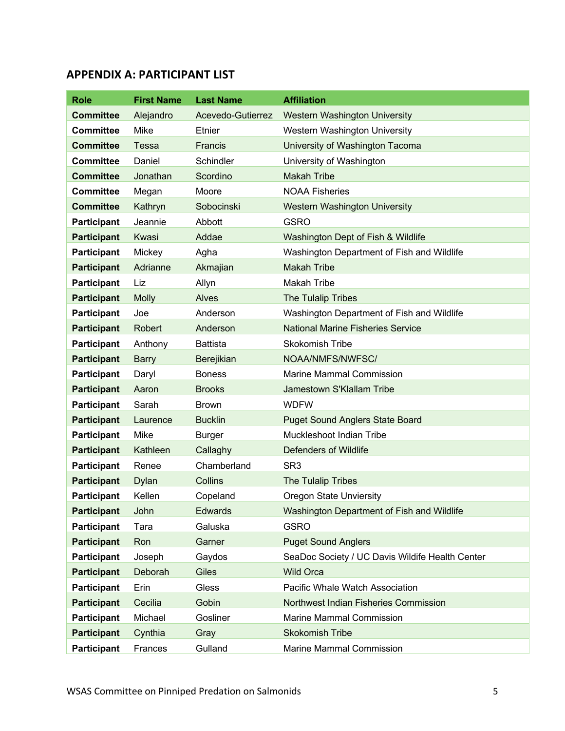#### **APPENDIX A: PARTICIPANT LIST**

| <b>Role</b>        | <b>First Name</b> | <b>Last Name</b>  | <b>Affiliation</b>                              |
|--------------------|-------------------|-------------------|-------------------------------------------------|
| <b>Committee</b>   | Alejandro         | Acevedo-Gutierrez | <b>Western Washington University</b>            |
| <b>Committee</b>   | Mike              | Etnier            | Western Washington University                   |
| <b>Committee</b>   | <b>Tessa</b>      | Francis           | University of Washington Tacoma                 |
| <b>Committee</b>   | Daniel            | Schindler         | University of Washington                        |
| <b>Committee</b>   | Jonathan          | Scordino          | <b>Makah Tribe</b>                              |
| <b>Committee</b>   | Megan             | Moore             | <b>NOAA Fisheries</b>                           |
| <b>Committee</b>   | Kathryn           | Sobocinski        | <b>Western Washington University</b>            |
| <b>Participant</b> | Jeannie           | Abbott            | <b>GSRO</b>                                     |
| <b>Participant</b> | Kwasi             | Addae             | Washington Dept of Fish & Wildlife              |
| <b>Participant</b> | Mickey            | Agha              | Washington Department of Fish and Wildlife      |
| <b>Participant</b> | Adrianne          | Akmajian          | <b>Makah Tribe</b>                              |
| <b>Participant</b> | Liz               | Allyn             | <b>Makah Tribe</b>                              |
| <b>Participant</b> | <b>Molly</b>      | Alves             | The Tulalip Tribes                              |
| <b>Participant</b> | Joe               | Anderson          | Washington Department of Fish and Wildlife      |
| <b>Participant</b> | <b>Robert</b>     | Anderson          | <b>National Marine Fisheries Service</b>        |
| <b>Participant</b> | Anthony           | <b>Battista</b>   | Skokomish Tribe                                 |
| <b>Participant</b> | <b>Barry</b>      | Berejikian        | NOAA/NMFS/NWFSC/                                |
| <b>Participant</b> | Daryl             | <b>Boness</b>     | <b>Marine Mammal Commission</b>                 |
| <b>Participant</b> | Aaron             | <b>Brooks</b>     | Jamestown S'Klallam Tribe                       |
| <b>Participant</b> | Sarah             | <b>Brown</b>      | <b>WDFW</b>                                     |
| <b>Participant</b> | Laurence          | <b>Bucklin</b>    | <b>Puget Sound Anglers State Board</b>          |
| <b>Participant</b> | Mike              | <b>Burger</b>     | Muckleshoot Indian Tribe                        |
| <b>Participant</b> | Kathleen          | Callaghy          | <b>Defenders of Wildlife</b>                    |
| <b>Participant</b> | Renee             | Chamberland       | SR <sub>3</sub>                                 |
| <b>Participant</b> | <b>Dylan</b>      | Collins           | The Tulalip Tribes                              |
| <b>Participant</b> | Kellen            | Copeland          | <b>Oregon State Unviersity</b>                  |
| <b>Participant</b> | John              | Edwards           | Washington Department of Fish and Wildlife      |
| Participant        | Tara              | Galuska           | <b>GSRO</b>                                     |
| <b>Participant</b> | Ron               | Garner            | <b>Puget Sound Anglers</b>                      |
| <b>Participant</b> | Joseph            | Gaydos            | SeaDoc Society / UC Davis Wildife Health Center |
| <b>Participant</b> | Deborah           | <b>Giles</b>      | <b>Wild Orca</b>                                |
| <b>Participant</b> | Erin              | Gless             | Pacific Whale Watch Association                 |
| <b>Participant</b> | Cecilia           | Gobin             | Northwest Indian Fisheries Commission           |
| <b>Participant</b> | Michael           | Gosliner          | <b>Marine Mammal Commission</b>                 |
| <b>Participant</b> | Cynthia           | Gray              | <b>Skokomish Tribe</b>                          |
| Participant        | Frances           | Gulland           | Marine Mammal Commission                        |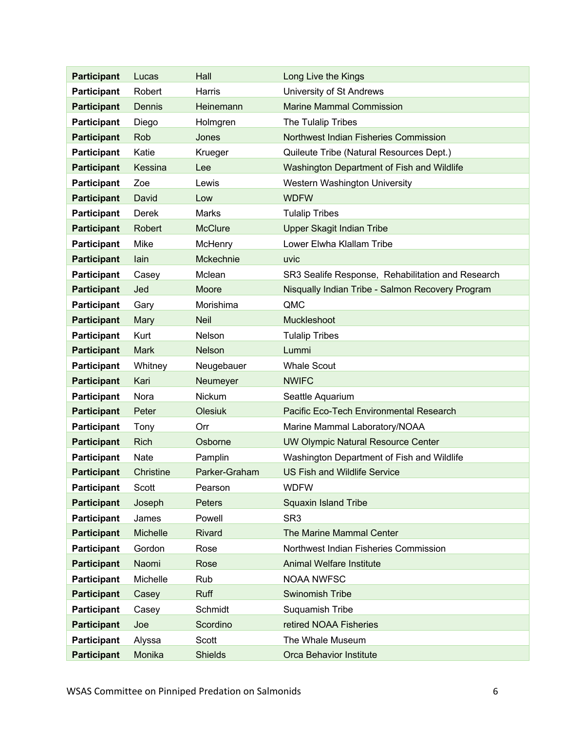| <b>Participant</b> | Lucas           | Hall           | Long Live the Kings                               |
|--------------------|-----------------|----------------|---------------------------------------------------|
| <b>Participant</b> | Robert          | Harris         | University of St Andrews                          |
| <b>Participant</b> | Dennis          | Heinemann      | <b>Marine Mammal Commission</b>                   |
| <b>Participant</b> | Diego           | Holmgren       | The Tulalip Tribes                                |
| <b>Participant</b> | Rob             | Jones          | Northwest Indian Fisheries Commission             |
| <b>Participant</b> | Katie           | Krueger        | Quileute Tribe (Natural Resources Dept.)          |
| <b>Participant</b> | Kessina         | Lee            | Washington Department of Fish and Wildlife        |
| <b>Participant</b> | Zoe             | Lewis          | Western Washington University                     |
| <b>Participant</b> | David           | Low            | <b>WDFW</b>                                       |
| <b>Participant</b> | Derek           | Marks          | <b>Tulalip Tribes</b>                             |
| <b>Participant</b> | Robert          | <b>McClure</b> | Upper Skagit Indian Tribe                         |
| <b>Participant</b> | Mike            | McHenry        | Lower Elwha Klallam Tribe                         |
| <b>Participant</b> | lain            | Mckechnie      | uvic                                              |
| <b>Participant</b> | Casey           | Mclean         | SR3 Sealife Response, Rehabilitation and Research |
| <b>Participant</b> | Jed             | <b>Moore</b>   | Nisqually Indian Tribe - Salmon Recovery Program  |
| <b>Participant</b> | Gary            | Morishima      | QMC                                               |
| <b>Participant</b> | Mary            | <b>Neil</b>    | Muckleshoot                                       |
| <b>Participant</b> | Kurt            | Nelson         | <b>Tulalip Tribes</b>                             |
| <b>Participant</b> | <b>Mark</b>     | <b>Nelson</b>  | Lummi                                             |
| <b>Participant</b> | Whitney         | Neugebauer     | <b>Whale Scout</b>                                |
| <b>Participant</b> | Kari            | Neumeyer       | <b>NWIFC</b>                                      |
| <b>Participant</b> | Nora            | Nickum         | Seattle Aquarium                                  |
| <b>Participant</b> | Peter           | <b>Olesiuk</b> | Pacific Eco-Tech Environmental Research           |
| <b>Participant</b> | Tony            | Orr            | Marine Mammal Laboratory/NOAA                     |
| <b>Participant</b> | <b>Rich</b>     | Osborne        | <b>UW Olympic Natural Resource Center</b>         |
| <b>Participant</b> | <b>Nate</b>     | Pamplin        | Washington Department of Fish and Wildlife        |
| <b>Participant</b> | Christine       | Parker-Graham  | <b>US Fish and Wildlife Service</b>               |
| <b>Participant</b> | <b>Scott</b>    | Pearson        | <b>WDFW</b>                                       |
| <b>Participant</b> | Joseph          | Peters         | <b>Squaxin Island Tribe</b>                       |
| <b>Participant</b> | James           | Powell         | SR <sub>3</sub>                                   |
| <b>Participant</b> | <b>Michelle</b> | <b>Rivard</b>  | The Marine Mammal Center                          |
| <b>Participant</b> | Gordon          | Rose           | Northwest Indian Fisheries Commission             |
| <b>Participant</b> | Naomi           | Rose           | Animal Welfare Institute                          |
| <b>Participant</b> | Michelle        | Rub            | <b>NOAA NWFSC</b>                                 |
| <b>Participant</b> | Casey           | <b>Ruff</b>    | <b>Swinomish Tribe</b>                            |
| <b>Participant</b> | Casey           | Schmidt        | Suquamish Tribe                                   |
| <b>Participant</b> | Joe             | Scordino       | retired NOAA Fisheries                            |
| Participant        | Alyssa          | Scott          | The Whale Museum                                  |
| <b>Participant</b> | Monika          | <b>Shields</b> | <b>Orca Behavior Institute</b>                    |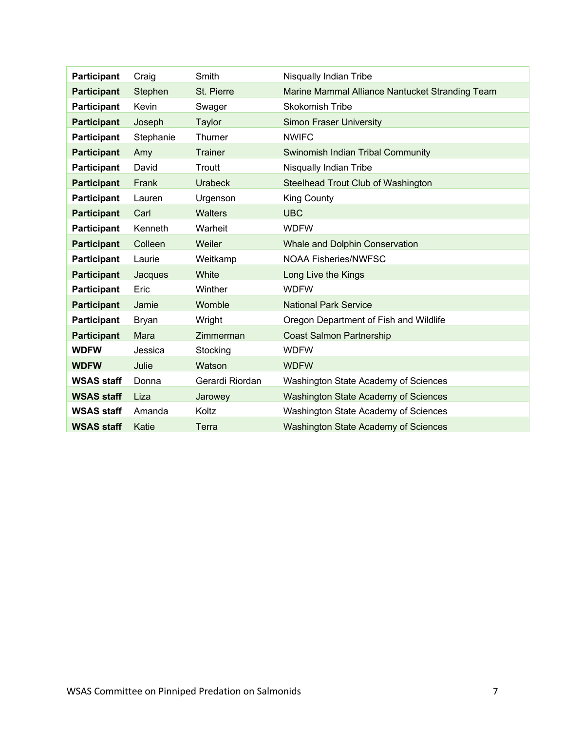| <b>Participant</b> | Craig        | Smith           | Nisqually Indian Tribe                          |
|--------------------|--------------|-----------------|-------------------------------------------------|
| <b>Participant</b> | Stephen      | St. Pierre      | Marine Mammal Alliance Nantucket Stranding Team |
| <b>Participant</b> | Kevin        | Swager          | <b>Skokomish Tribe</b>                          |
| <b>Participant</b> | Joseph       | Taylor          | <b>Simon Fraser University</b>                  |
| Participant        | Stephanie    | Thurner         | <b>NWIFC</b>                                    |
| <b>Participant</b> | Amy          | <b>Trainer</b>  | Swinomish Indian Tribal Community               |
| <b>Participant</b> | David        | Troutt          | Nisqually Indian Tribe                          |
| <b>Participant</b> | Frank        | <b>Urabeck</b>  | <b>Steelhead Trout Club of Washington</b>       |
| <b>Participant</b> | Lauren       | Urgenson        | <b>King County</b>                              |
| <b>Participant</b> | Carl         | <b>Walters</b>  | <b>UBC</b>                                      |
| <b>Participant</b> | Kenneth      | Warheit         | <b>WDFW</b>                                     |
| <b>Participant</b> | Colleen      | Weiler          | <b>Whale and Dolphin Conservation</b>           |
| <b>Participant</b> | Laurie       | Weitkamp        | <b>NOAA Fisheries/NWFSC</b>                     |
| <b>Participant</b> | Jacques      | White           | Long Live the Kings                             |
| <b>Participant</b> | Eric         | Winther         | <b>WDFW</b>                                     |
| <b>Participant</b> | Jamie        | Womble          | <b>National Park Service</b>                    |
| <b>Participant</b> | <b>Bryan</b> | Wright          | Oregon Department of Fish and Wildlife          |
| <b>Participant</b> | Mara         | Zimmerman       | <b>Coast Salmon Partnership</b>                 |
| <b>WDFW</b>        | Jessica      | Stocking        | <b>WDFW</b>                                     |
| <b>WDFW</b>        | Julie        | Watson          | <b>WDFW</b>                                     |
| <b>WSAS staff</b>  | Donna        | Gerardi Riordan | Washington State Academy of Sciences            |
| <b>WSAS staff</b>  | Liza         | Jarowey         | <b>Washington State Academy of Sciences</b>     |
| <b>WSAS staff</b>  | Amanda       | Koltz           | Washington State Academy of Sciences            |
| <b>WSAS staff</b>  | Katie        | Terra           | Washington State Academy of Sciences            |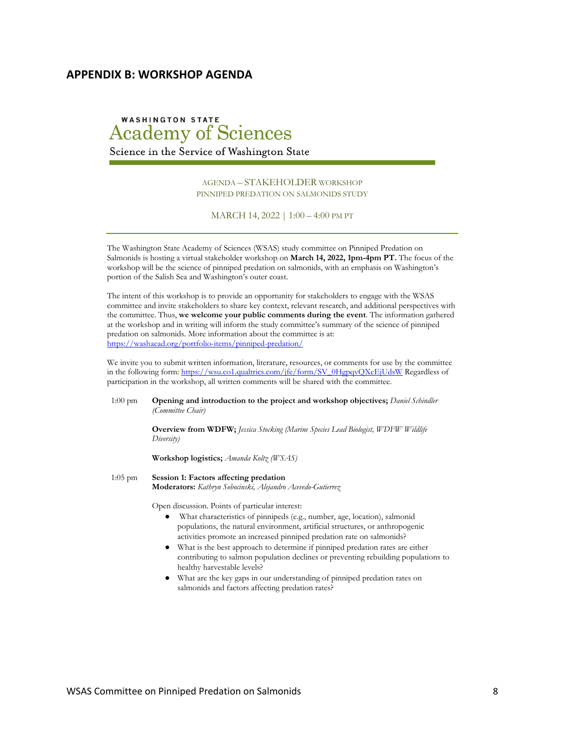#### **APPENDIX B: WORKSHOP AGENDA**

### **WASHINGTON STATE Academy of Sciences**

Science in the Service of Washington State

AGENDA – STAKEHOLDER WORKSHOP PINNIPED PREDATION ON SALMONIDS STUDY

MARCH 14, 2022 | 1:00 – 4:00 PM PT

The Washington State Academy of Sciences (WSAS) study committee on Pinniped Predation on Salmonids is hosting a virtual stakeholder workshop on **March 14, 2022, 1pm-4pm PT.** The focus of the workshop will be the science of pinniped predation on salmonids, with an emphasis on Washington's portion of the Salish Sea and Washington's outer coast.

The intent of this workshop is to provide an opportunity for stakeholders to engage with the WSAS committee and invite stakeholders to share key context, relevant research, and additional perspectives with the committee. Thus, **we welcome your public comments during the event**. The information gathered at the workshop and in writing will inform the study committee's summary of the science of pinniped predation on salmonids. More information about the committee is at: https://washacad.org/portfolio-items/pinniped-predation/

We invite you to submit written information, literature, resources, or comments for use by the committee in the following form: https://wsu.co1.qualtrics.com/jfe/form/SV\_0HgpqvQXcEjUdsW Regardless of participation in the workshop, all written comments will be shared with the committee.

1:00 pm **Opening and introduction to the project and workshop objectives;** *Daniel Schindler (Committee Chair)*

> **Overview from WDFW;** *Jessica Stocking (Marine Species Lead Biologist, WDFW Wildlife Diversity)*

**Workshop logistics;** *Amanda Koltz (WSAS)*

1:05 pm **Session 1: Factors affecting predation Moderators:** *Kathryn Sobocinski, Alejandro Acevedo-Gutierrez*

Open discussion. Points of particular interest:

- What characteristics of pinnipeds (e.g., number, age, location), salmonid populations, the natural environment, artificial structures, or anthropogenic activities promote an increased pinniped predation rate on salmonids?
- What is the best approach to determine if pinniped predation rates are either contributing to salmon population declines or preventing rebuilding populations to healthy harvestable levels?
- What are the key gaps in our understanding of pinniped predation rates on salmonids and factors affecting predation rates?